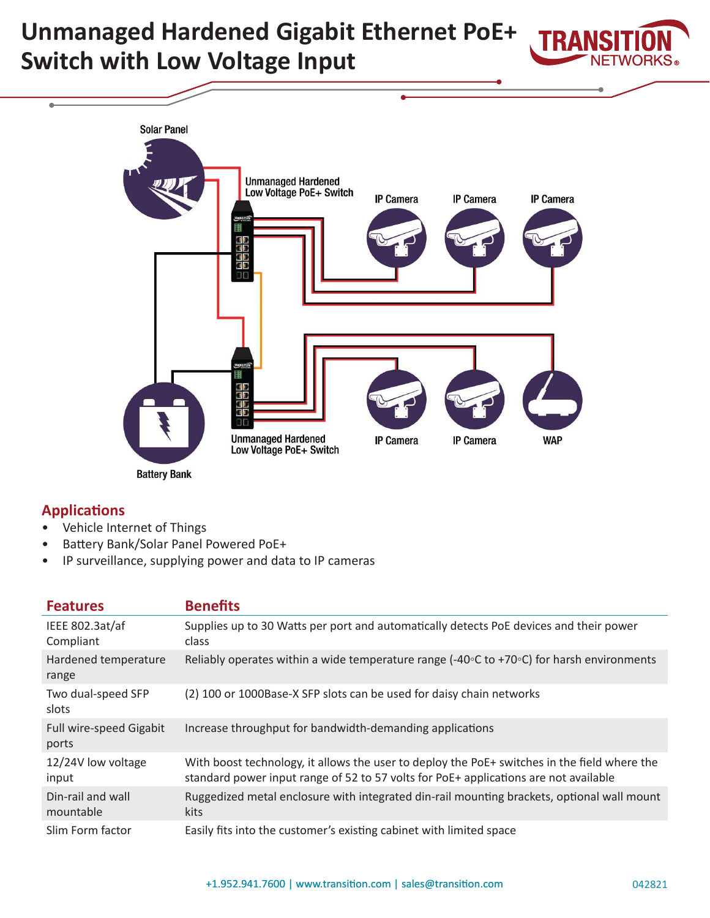# **Unmanaged Hardened Gigabit Ethernet PoE+ Switch with Low Voltage Input**





**Battery Bank** 

## **Applications**

- Vehicle Internet of Things
- Battery Bank/Solar Panel Powered PoE+
- IP surveillance, supplying power and data to IP cameras

| <b>Features</b>                  | <b>Benefits</b>                                                                                                                                                                      |
|----------------------------------|--------------------------------------------------------------------------------------------------------------------------------------------------------------------------------------|
| IEEE 802.3at/af<br>Compliant     | Supplies up to 30 Watts per port and automatically detects PoE devices and their power<br>class                                                                                      |
| Hardened temperature<br>range    | Reliably operates within a wide temperature range (-40 $\circ$ C to +70 $\circ$ C) for harsh environments                                                                            |
| Two dual-speed SFP<br>slots      | (2) 100 or 1000Base-X SFP slots can be used for daisy chain networks                                                                                                                 |
| Full wire-speed Gigabit<br>ports | Increase throughput for bandwidth-demanding applications                                                                                                                             |
| 12/24V low voltage<br>input      | With boost technology, it allows the user to deploy the PoE+ switches in the field where the<br>standard power input range of 52 to 57 volts for PoE+ applications are not available |
| Din-rail and wall<br>mountable   | Ruggedized metal enclosure with integrated din-rail mounting brackets, optional wall mount<br><b>kits</b>                                                                            |
| Slim Form factor                 | Easily fits into the customer's existing cabinet with limited space                                                                                                                  |